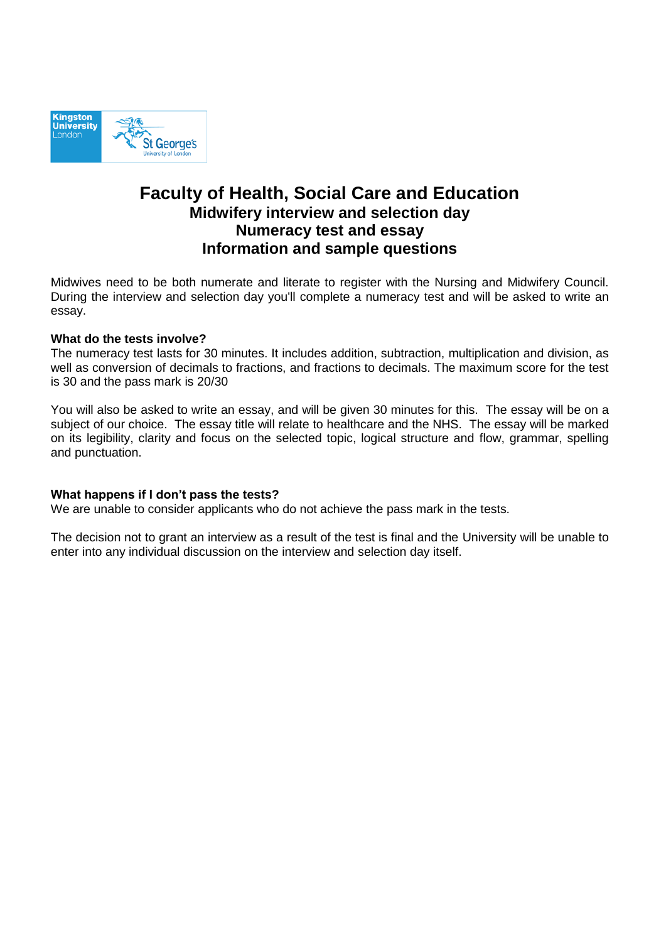

# **Faculty of Health, Social Care and Education Midwifery interview and selection day Numeracy test and essay Information and sample questions**

Midwives need to be both numerate and literate to register with the Nursing and Midwifery Council. During the interview and selection day you'll complete a numeracy test and will be asked to write an essay.

#### **What do the tests involve?**

The numeracy test lasts for 30 minutes. It includes addition, subtraction, multiplication and division, as well as conversion of decimals to fractions, and fractions to decimals. The maximum score for the test is 30 and the pass mark is 20/30

You will also be asked to write an essay, and will be given 30 minutes for this. The essay will be on a subject of our choice. The essay title will relate to healthcare and the NHS. The essay will be marked on its legibility, clarity and focus on the selected topic, logical structure and flow, grammar, spelling and punctuation.

#### **What happens if I don't pass the tests?**

We are unable to consider applicants who do not achieve the pass mark in the tests.

The decision not to grant an interview as a result of the test is final and the University will be unable to enter into any individual discussion on the interview and selection day itself.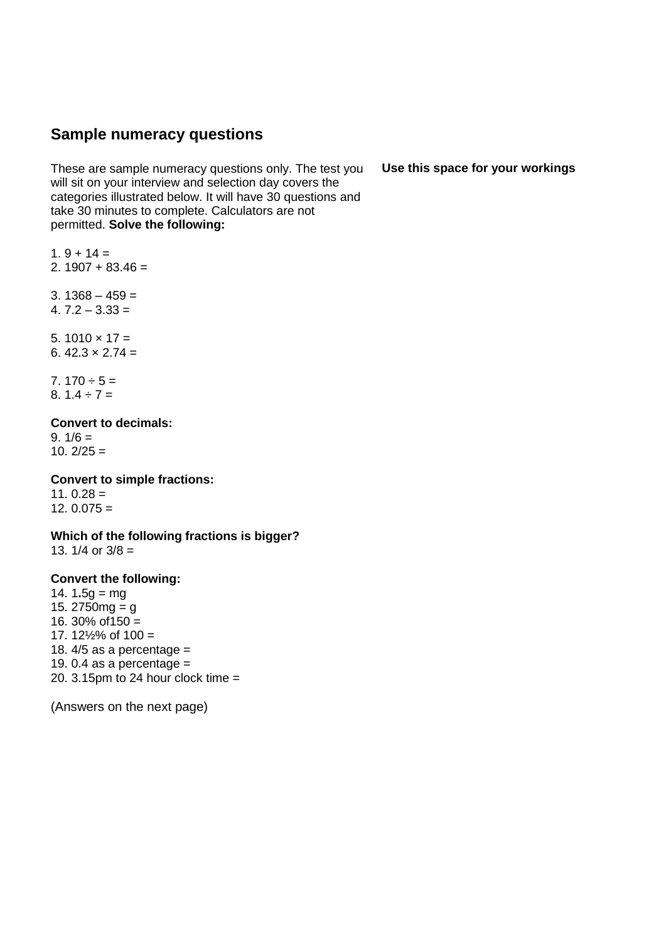## **Sample numeracy questions**

These are sample numeracy questions only. The test you will sit on your interview and selection day covers the categories illustrated below. It will have 30 questions and take 30 minutes to complete. Calculators are not permitted. **Solve the following:** 

 $1.9 + 14 =$ 2.  $1907 + 83.46 =$ 

 $3.1368 - 459 =$ 

4. 7.2 – 3.33 =

5.  $1010 \times 17 =$ 6.  $42.3 \times 2.74 =$ 

7.  $170 \div 5 =$ 8.  $1.4 \div 7 =$ 

#### **Convert to decimals:**

9.  $1/6 =$ 10.  $2/25 =$ 

#### **Convert to simple fractions:**

 $11.0.28 =$  $12.0.075 =$ 

**Which of the following fractions is bigger?**  13.  $1/4$  or  $3/8 =$ 

#### **Convert the following:**

14. 1**.**5g = mg 15.  $2750mg = g$ 16. 30% of  $150 =$ 17.  $12\frac{1}{2}\%$  of 100 = 18.  $4/5$  as a percentage = 19. 0.4 as a percentage  $=$ 20. 3.15pm to 24 hour clock time  $=$ 

(Answers on the next page)

**Use this space for your workings**